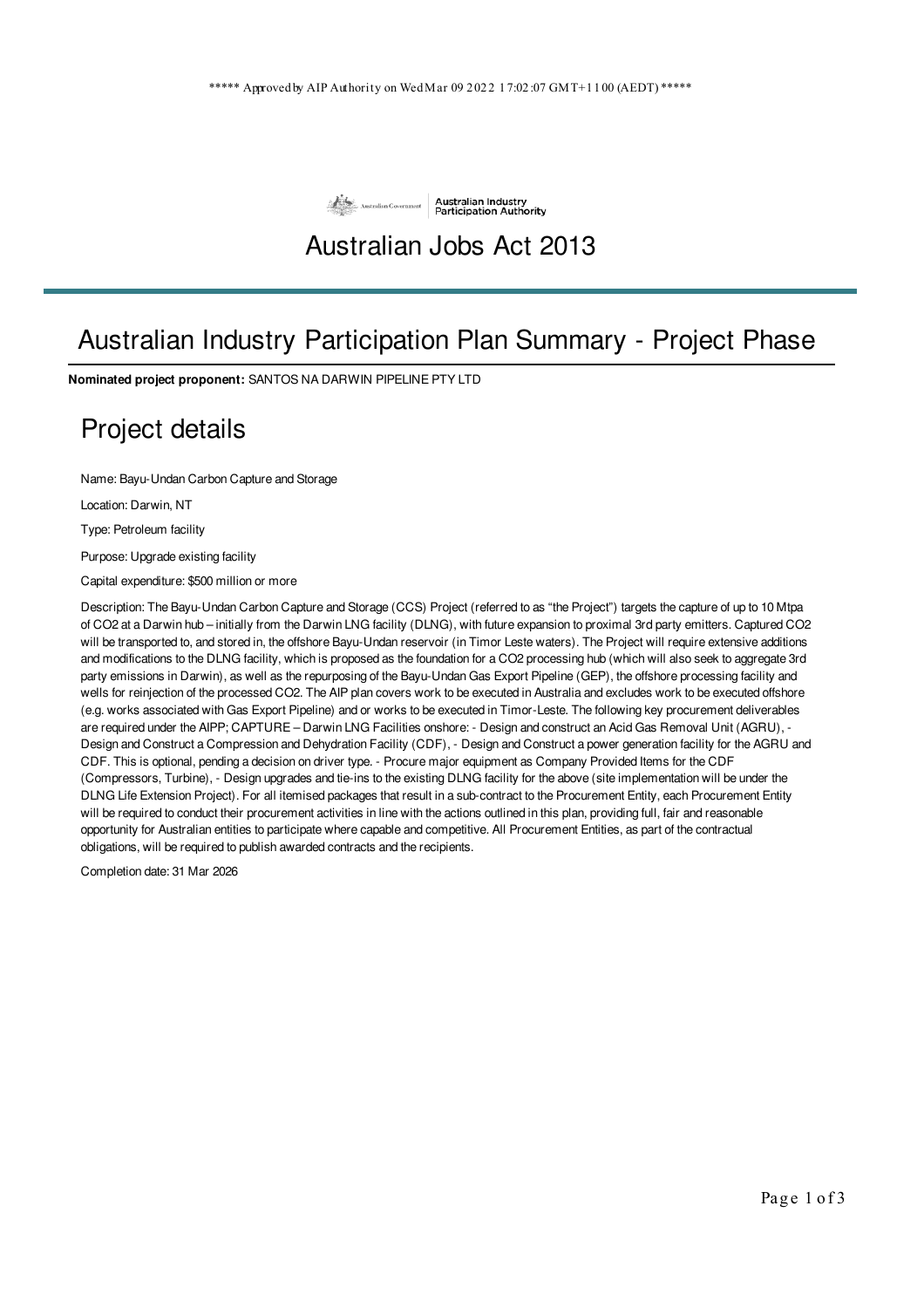

## Australian Jobs Act 2013

## Australian Industry Participation Plan Summary - Project Phase

**Nominated project proponent:** SANTOS NA DARWIN PIPELINE PTY LTD

## Project details

Name: Bayu-Undan Carbon Capture and Storage

Location: Darwin, NT

Type: Petroleum facility

Purpose: Upgrade existing facility

Capital expenditure: \$500 million or more

Description: The Bayu-Undan Carbon Capture and Storage (CCS) Project (referred to as "the Project") targets the capture of up to 10 Mtpa of CO2 at a Darwin hub – initially from the Darwin LNG facility (DLNG), with future expansion to proximal 3rd party emitters. Captured CO2 will be transported to, and stored in, the offshore Bayu-Undan reservoir (in Timor Leste waters). The Project will require extensive additions and modifications to the DLNG facility, which is proposed as the foundation for a CO2 processing hub (which will also seek to aggregate 3rd party emissions in Darwin), as well as the repurposing of the Bayu-Undan Gas Export Pipeline (GEP), the offshore processing facility and wells for reinjection of the processed CO2. The AIP plan covers work to be executed in Australia and excludes work to be executed offshore (e.g. works associated with Gas Export Pipeline) and or works to be executed in Timor-Leste. The following key procurement deliverables are required under the AIPP; CAPTURE – Darwin LNG Facilities onshore: - Design and construct an Acid Gas Removal Unit (AGRU), - Design and Construct a Compression and Dehydration Facility (CDF), - Design and Construct a power generation facility for the AGRU and CDF. This is optional, pending a decision on driver type. - Procure major equipment as Company Provided Items for the CDF (Compressors, Turbine), - Design upgrades and tie-ins to the existing DLNG facility for the above (site implementation will be under the DLNG Life Extension Project). For all itemised packages that result in a sub-contract to the Procurement Entity, each Procurement Entity will be required to conduct their procurement activities in line with the actions outlined in this plan, providing full, fair and reasonable opportunity for Australian entities to participate where capable and competitive. All Procurement Entities, as part of the contractual obligations, will be required to publish awarded contracts and the recipients.

Completion date: 31 Mar 2026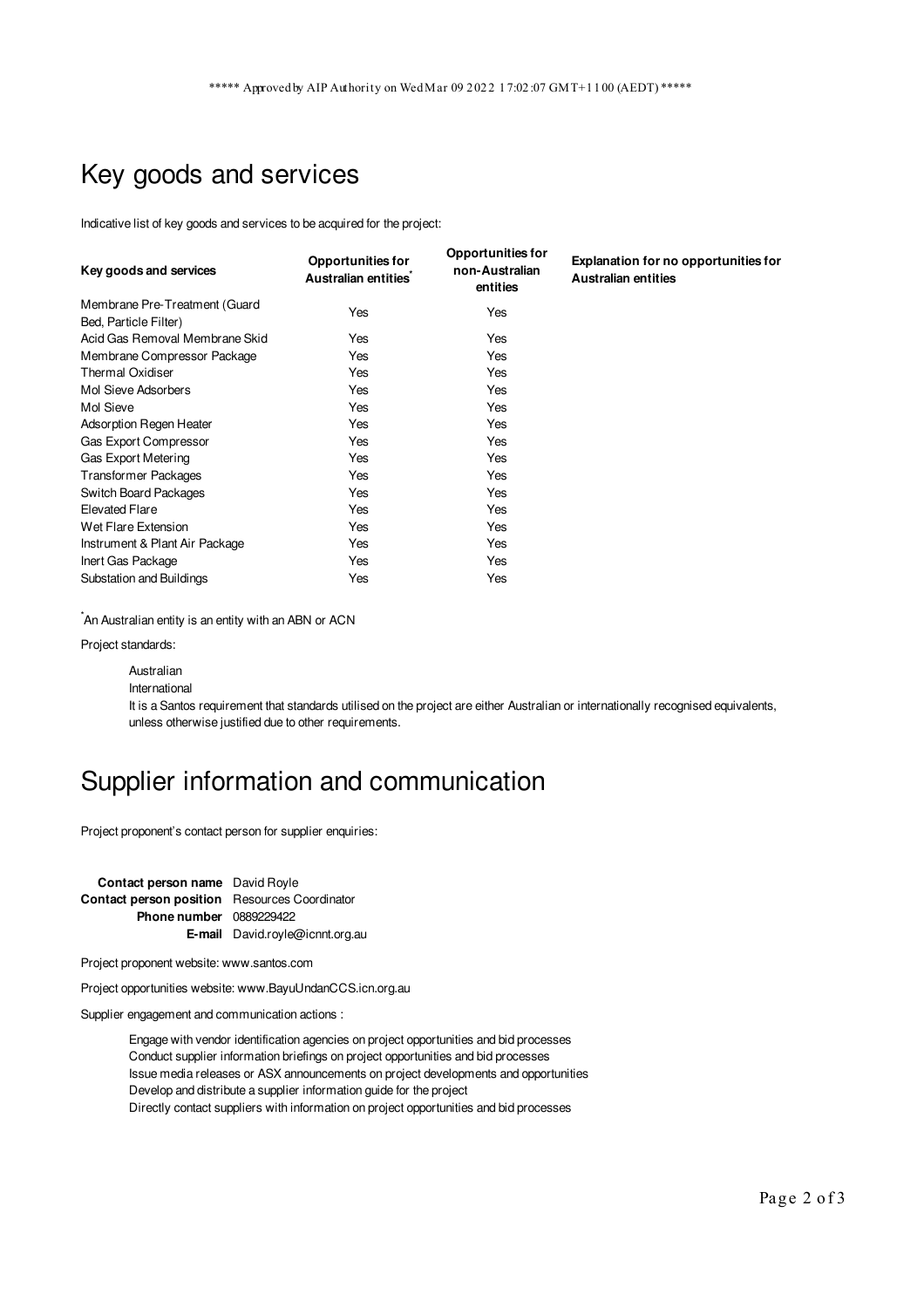# Key goods and services

Indicative list of key goods and services to be acquired for the project:

| Key goods and services                                 | <b>Opportunities for</b><br>Australian entities | <b>Opportunities for</b><br>non-Australian<br>entities | <b>Explanation for no opportunities for</b><br><b>Australian entities</b> |
|--------------------------------------------------------|-------------------------------------------------|--------------------------------------------------------|---------------------------------------------------------------------------|
| Membrane Pre-Treatment (Guard<br>Bed, Particle Filter) | Yes                                             | Yes                                                    |                                                                           |
| Acid Gas Removal Membrane Skid                         | Yes                                             | Yes                                                    |                                                                           |
| Membrane Compressor Package                            | Yes                                             | Yes                                                    |                                                                           |
| <b>Thermal Oxidiser</b>                                | Yes                                             | Yes                                                    |                                                                           |
| Mol Sieve Adsorbers                                    | Yes                                             | Yes                                                    |                                                                           |
| Mol Sieve                                              | Yes                                             | Yes                                                    |                                                                           |
| Adsorption Regen Heater                                | Yes                                             | Yes                                                    |                                                                           |
| <b>Gas Export Compressor</b>                           | Yes                                             | Yes                                                    |                                                                           |
| Gas Export Metering                                    | Yes                                             | Yes                                                    |                                                                           |
| <b>Transformer Packages</b>                            | Yes                                             | Yes                                                    |                                                                           |
| <b>Switch Board Packages</b>                           | Yes                                             | Yes                                                    |                                                                           |
| Elevated Flare                                         | Yes                                             | Yes                                                    |                                                                           |
| Wet Flare Extension                                    | Yes                                             | Yes                                                    |                                                                           |
| Instrument & Plant Air Package                         | Yes                                             | Yes                                                    |                                                                           |
| Inert Gas Package                                      | Yes                                             | Yes                                                    |                                                                           |
| Substation and Buildings                               | Yes                                             | Yes                                                    |                                                                           |

 $\check{}$ An Australian entity is an entity with an ABN or ACN

Project standards:

```
Australian
```
International

It is a Santos requirement that standards utilised on the project are either Australian or internationally recognised equivalents, unless otherwise justified due to other requirements.

# Supplier information and communication

Project proponent's contact person for supplier enquiries:

**Contact person name** David Royle **Contact person position** Resources Coordinator **Phone number** 0889229422 **E-mail** David.royle@icnnt.org.au

Project proponent website: www.santos.com

Project opportunities website: www.BayuUndanCCS.icn.org.au

Supplier engagement and communication actions :

Engage with vendor identification agencies on project opportunities and bid processes Conduct supplier information briefings on project opportunities and bid processes Issue media releases or ASX announcements on project developments and opportunities Develop and distribute a supplier information guide for the project Directly contact suppliers with information on project opportunities and bid processes